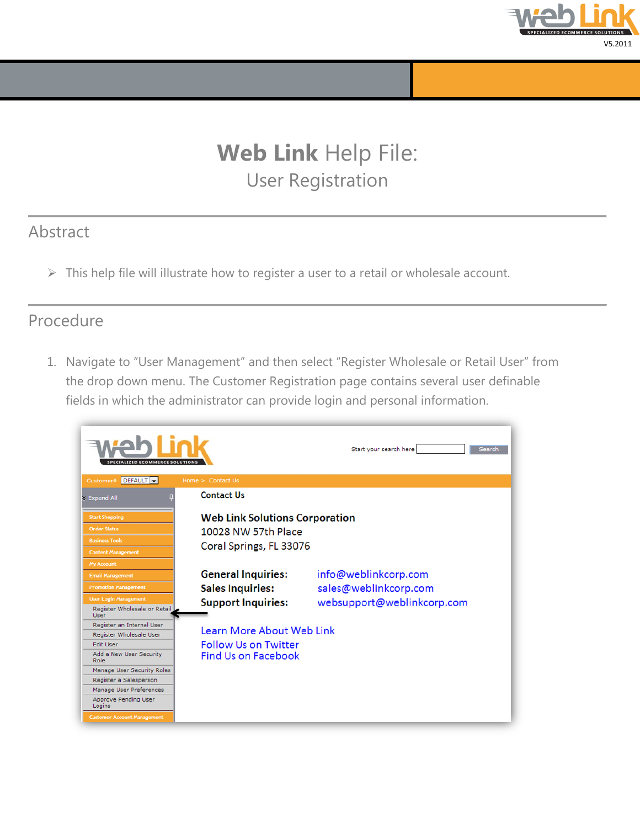

## **Web Link** Help File: User Registration

## Abstract

 $\triangleright$  This help file will illustrate how to register a user to a retail or wholesale account.

## Procedure

1. Navigate to "User Management" and then select "Register Wholesale or Retail User" from the drop down menu. The Customer Registration page contains several user definable fields in which the administrator can provide login and personal information.

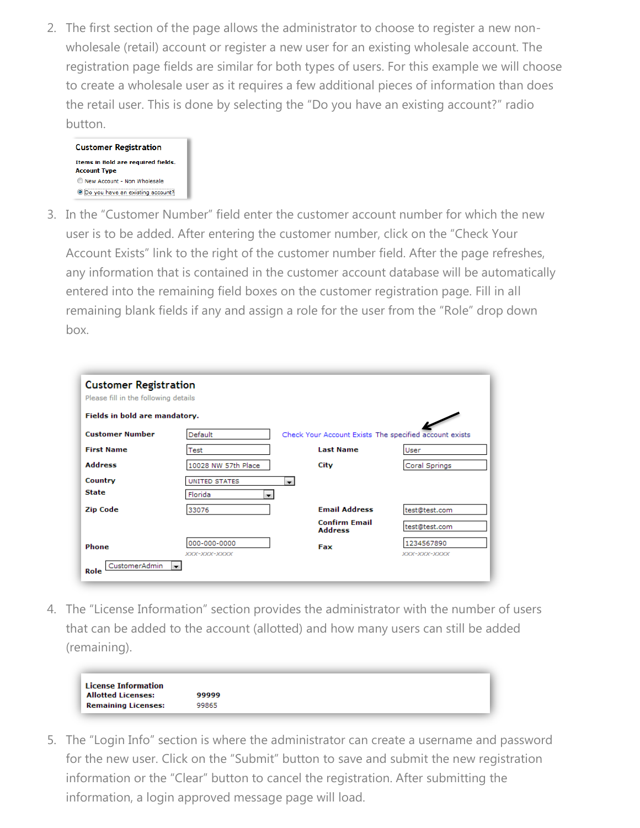2. The first section of the page allows the administrator to choose to register a new nonwholesale (retail) account or register a new user for an existing wholesale account. The registration page fields are similar for both types of users. For this example we will choose to create a wholesale user as it requires a few additional pieces of information than does the retail user. This is done by selecting the "Do you have an existing account?" radio button.



3. In the "Customer Number" field enter the customer account number for which the new user is to be added. After entering the customer number, click on the "Check Your Account Exists" link to the right of the customer number field. After the page refreshes, any information that is contained in the customer account database will be automatically entered into the remaining field boxes on the customer registration page. Fill in all remaining blank fields if any and assign a role for the user from the "Role" drop down box.

| <b>Customer Registration</b><br>Please fill in the following details |                                     |                                                        |                            |  |
|----------------------------------------------------------------------|-------------------------------------|--------------------------------------------------------|----------------------------|--|
| Fields in bold are mandatory.                                        |                                     |                                                        |                            |  |
| <b>Customer Number</b>                                               | Default                             | Check Your Account Exists The specified account exists |                            |  |
| <b>First Name</b>                                                    | Test                                | <b>Last Name</b>                                       | User                       |  |
| <b>Address</b>                                                       | 10028 NW 57th Place                 | City                                                   | Coral Springs              |  |
| Country                                                              | UNITED STATES                       | $\blacksquare$                                         |                            |  |
| <b>State</b>                                                         | Florida<br>$\overline{\phantom{a}}$ |                                                        |                            |  |
| <b>Zip Code</b>                                                      | 33076                               | <b>Email Address</b>                                   | test@test.com              |  |
|                                                                      |                                     | <b>Confirm Email</b><br><b>Address</b>                 | test@test.com              |  |
| Phone                                                                | 000-000-0000<br>XXX-XXX-XXXX        | Fax                                                    | 1234567890<br>XXX-XXX-XXXX |  |
| CustomerAdmin<br>Role                                                | $\blacksquare$                      |                                                        |                            |  |

4. The "License Information" section provides the administrator with the number of users that can be added to the account (allotted) and how many users can still be added (remaining).



5. The "Login Info" section is where the administrator can create a username and password for the new user. Click on the "Submit" button to save and submit the new registration information or the "Clear" button to cancel the registration. After submitting the information, a login approved message page will load.